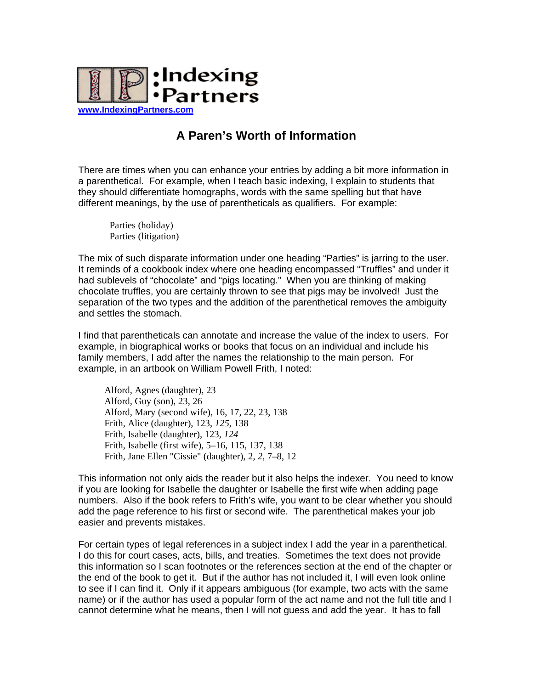

## **A Paren's Worth of Information**

There are times when you can enhance your entries by adding a bit more information in a parenthetical. For example, when I teach basic indexing, I explain to students that they should differentiate homographs, words with the same spelling but that have different meanings, by the use of parentheticals as qualifiers. For example:

Parties (holiday) Parties (litigation)

The mix of such disparate information under one heading "Parties" is jarring to the user. It reminds of a cookbook index where one heading encompassed "Truffles" and under it had sublevels of "chocolate" and "pigs locating." When you are thinking of making chocolate truffles, you are certainly thrown to see that pigs may be involved! Just the separation of the two types and the addition of the parenthetical removes the ambiguity and settles the stomach.

I find that parentheticals can annotate and increase the value of the index to users. For example, in biographical works or books that focus on an individual and include his family members, I add after the names the relationship to the main person. For example, in an artbook on William Powell Frith, I noted:

Alford, Agnes (daughter), 23 Alford, Guy (son), 23, 26 Alford, Mary (second wife), 16, 17, 22, 23, 138 Frith, Alice (daughter), 123, *125,* 138 Frith, Isabelle (daughter), 123, *124* Frith, Isabelle (first wife), 5–16, 115, 137, 138 Frith, Jane Ellen "Cissie" (daughter), 2, *2,* 7–8, 12

This information not only aids the reader but it also helps the indexer. You need to know if you are looking for Isabelle the daughter or Isabelle the first wife when adding page numbers. Also if the book refers to Frith's wife, you want to be clear whether you should add the page reference to his first or second wife. The parenthetical makes your job easier and prevents mistakes.

For certain types of legal references in a subject index I add the year in a parenthetical. I do this for court cases, acts, bills, and treaties. Sometimes the text does not provide this information so I scan footnotes or the references section at the end of the chapter or the end of the book to get it. But if the author has not included it, I will even look online to see if I can find it. Only if it appears ambiguous (for example, two acts with the same name) or if the author has used a popular form of the act name and not the full title and I cannot determine what he means, then I will not guess and add the year. It has to fall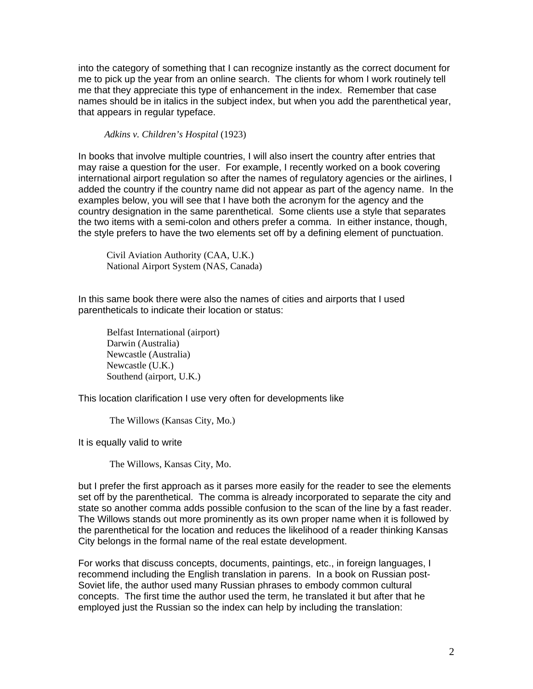into the category of something that I can recognize instantly as the correct document for me to pick up the year from an online search. The clients for whom I work routinely tell me that they appreciate this type of enhancement in the index. Remember that case names should be in italics in the subject index, but when you add the parenthetical year, that appears in regular typeface.

*Adkins v. Children's Hospital* (1923)

In books that involve multiple countries, I will also insert the country after entries that may raise a question for the user. For example, I recently worked on a book covering international airport regulation so after the names of regulatory agencies or the airlines, I added the country if the country name did not appear as part of the agency name. In the examples below, you will see that I have both the acronym for the agency and the country designation in the same parenthetical. Some clients use a style that separates the two items with a semi-colon and others prefer a comma. In either instance, though, the style prefers to have the two elements set off by a defining element of punctuation.

Civil Aviation Authority (CAA, U.K.) National Airport System (NAS, Canada)

In this same book there were also the names of cities and airports that I used parentheticals to indicate their location or status:

 Belfast International (airport) Darwin (Australia) Newcastle (Australia) Newcastle (U.K.) Southend (airport, U.K.)

This location clarification I use very often for developments like

The Willows (Kansas City, Mo.)

It is equally valid to write

The Willows, Kansas City, Mo.

but I prefer the first approach as it parses more easily for the reader to see the elements set off by the parenthetical. The comma is already incorporated to separate the city and state so another comma adds possible confusion to the scan of the line by a fast reader. The Willows stands out more prominently as its own proper name when it is followed by the parenthetical for the location and reduces the likelihood of a reader thinking Kansas City belongs in the formal name of the real estate development.

For works that discuss concepts, documents, paintings, etc., in foreign languages, I recommend including the English translation in parens. In a book on Russian post-Soviet life, the author used many Russian phrases to embody common cultural concepts. The first time the author used the term, he translated it but after that he employed just the Russian so the index can help by including the translation: